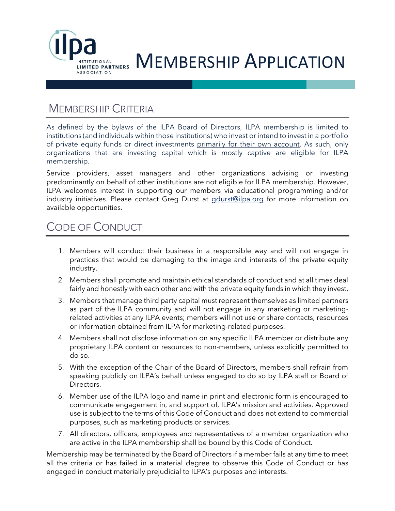

### MEMBERSHIP CRITERIA

As defined by the bylaws of the ILPA Board of Directors, ILPA membership is limited to institutions (and individuals within those institutions) who invest or intend to invest in a portfolio of private equity funds or direct investments primarily for their own account. As such, only organizations that are investing capital which is mostly captive are eligible for ILPA membership.

Service providers, asset managers and other organizations advising or investing predominantly on behalf of other institutions are not eligible for ILPA membership. However, ILPA welcomes interest in supporting our members via educational programming and/or industry initiatives. Please contact Greg Durst at [gdurst@ilpa.org](mailto:gdurst@ilpa.org) for more information on available opportunities.

## CODE OF CONDUCT

- 1. Members will conduct their business in a responsible way and will not engage in practices that would be damaging to the image and interests of the private equity industry.
- 2. Members shall promote and maintain ethical standards of conduct and at all times deal fairly and honestly with each other and with the private equity funds in which they invest.
- 3. Members that manage third party capital must represent themselves as limited partners as part of the ILPA community and will not engage in any marketing or marketingrelated activities at any ILPA events; members will not use or share contacts, resources or information obtained from ILPA for marketing-related purposes.
- 4. Members shall not disclose information on any specific ILPA member or distribute any proprietary ILPA content or resources to non-members, unless explicitly permitted to do so.
- 5. With the exception of the Chair of the Board of Directors, members shall refrain from speaking publicly on ILPA's behalf unless engaged to do so by ILPA staff or Board of Directors.
- 6. Member use of the ILPA logo and name in print and electronic form is encouraged to communicate engagement in, and support of, ILPA's mission and activities. Approved use is subject to the terms of this Code of Conduct and does not extend to commercial purposes, such as marketing products or services.
- 7. All directors, officers, employees and representatives of a member organization who are active in the ILPA membership shall be bound by this Code of Conduct.

Membership may be terminated by the Board of Directors if a member fails at any time to meet all the criteria or has failed in a material degree to observe this Code of Conduct or has engaged in conduct materially prejudicial to ILPA's purposes and interests.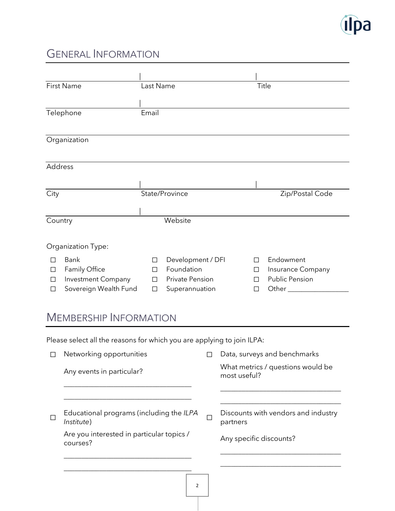

# GENERAL INFORMATION

| <b>First Name</b>               | Last Name |                        |   | Title                    |  |  |  |
|---------------------------------|-----------|------------------------|---|--------------------------|--|--|--|
|                                 |           |                        |   |                          |  |  |  |
| Telephone                       | Email     |                        |   |                          |  |  |  |
|                                 |           |                        |   |                          |  |  |  |
| Organization                    |           |                        |   |                          |  |  |  |
| Address                         |           |                        |   |                          |  |  |  |
|                                 |           |                        |   |                          |  |  |  |
| City                            |           | State/Province         |   | Zip/Postal Code          |  |  |  |
|                                 |           |                        |   |                          |  |  |  |
| Country                         |           | Website                |   |                          |  |  |  |
| Organization Type:              |           |                        |   |                          |  |  |  |
| <b>Bank</b>                     | П         | Development / DFI      | П | Endowment                |  |  |  |
| Family Office<br>П              | П         | Foundation             | П | Insurance Company        |  |  |  |
| <b>Investment Company</b><br>П  | П         | <b>Private Pension</b> | П | <b>Public Pension</b>    |  |  |  |
| Sovereign Wealth Fund<br>$\Box$ | П         | Superannuation         | П | Other <sub>_______</sub> |  |  |  |
| <b>MEMBERSHIP INFORMATION</b>   |           |                        |   |                          |  |  |  |

Please select all the reasons for which you are applying to join ILPA:

\_\_\_\_\_\_\_\_\_\_\_\_\_\_\_\_\_\_\_\_\_\_\_\_\_\_\_\_\_\_\_\_\_\_\_\_

| Networking opportunities                               | Data, surveys and benchmarks                      |
|--------------------------------------------------------|---------------------------------------------------|
| Any events in particular?                              | What metrics / questions would be<br>most useful? |
|                                                        |                                                   |
|                                                        |                                                   |
| Educational programs (including the ILPA<br>Institute) | Discounts with vendors and industry<br>partners   |
| Are you interested in particular topics /<br>courses?  | Any specific discounts?                           |
|                                                        |                                                   |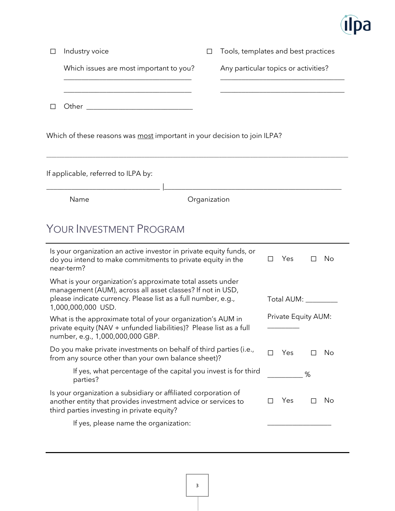

| П | Industry voice                                                                                                                                                                                                  | $\Box$       | Tools, templates and best practices  |        |                     |        |    |
|---|-----------------------------------------------------------------------------------------------------------------------------------------------------------------------------------------------------------------|--------------|--------------------------------------|--------|---------------------|--------|----|
|   | Which issues are most important to you?                                                                                                                                                                         |              | Any particular topics or activities? |        |                     |        |    |
|   |                                                                                                                                                                                                                 |              |                                      |        |                     |        |    |
|   | Which of these reasons was most important in your decision to join ILPA?                                                                                                                                        |              |                                      |        |                     |        |    |
|   | If applicable, referred to ILPA by:                                                                                                                                                                             |              |                                      |        |                     |        |    |
|   | Name                                                                                                                                                                                                            | Organization |                                      |        |                     |        |    |
|   | YOUR INVESTMENT PROGRAM<br>Is your organization an active investor in private equity funds, or<br>do you intend to make commitments to private equity in the<br>near-term?                                      |              |                                      | $\Box$ | Yes                 | $\Box$ | No |
|   | What is your organization's approximate total assets under<br>management (AUM), across all asset classes? If not in USD,<br>please indicate currency. Please list as a full number, e.g.,<br>1,000,000,000 USD. |              |                                      |        | Total AUM:          |        |    |
|   | What is the approximate total of your organization's AUM in<br>private equity (NAV + unfunded liabilities)? Please list as a full<br>number, e.g., 1,000,000,000 GBP.                                           |              |                                      |        | Private Equity AUM: |        |    |
|   | Do you make private investments on behalf of third parties (i.e.,<br>from any source other than your own balance sheet)?                                                                                        |              |                                      | П      | Yes                 |        | No |
|   | If yes, what percentage of the capital you invest is for third<br>parties?                                                                                                                                      |              |                                      |        |                     | %      |    |
|   | Is your organization a subsidiary or affiliated corporation of<br>another entity that provides investment advice or services to                                                                                 |              |                                      |        | Yes                 | ⊔      | No |

third parties investing in private equity?

If yes, please name the organization: